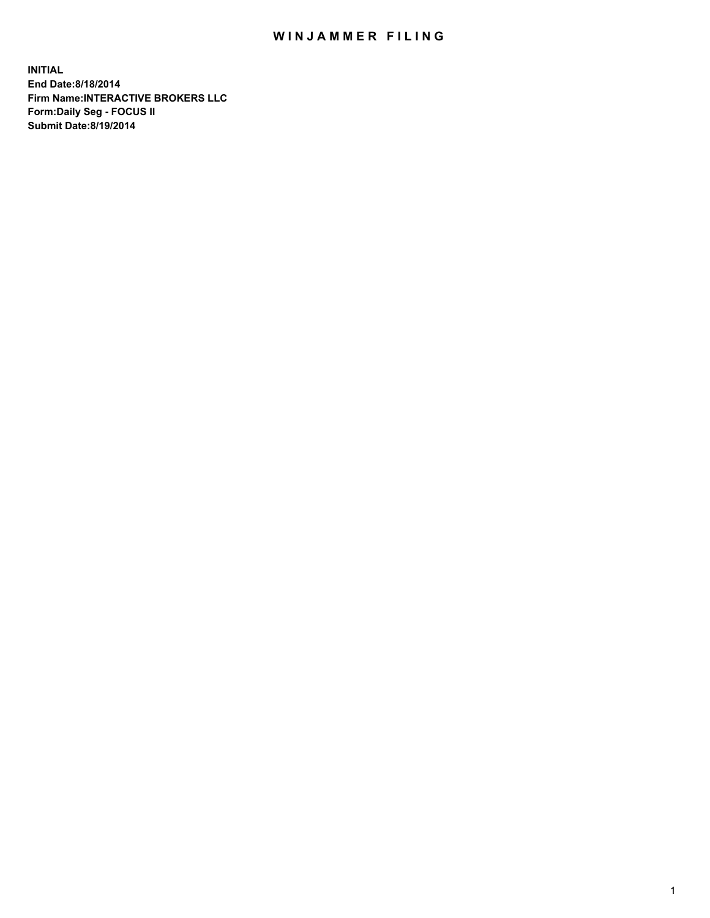## WIN JAMMER FILING

**INITIAL End Date:8/18/2014 Firm Name:INTERACTIVE BROKERS LLC Form:Daily Seg - FOCUS II Submit Date:8/19/2014**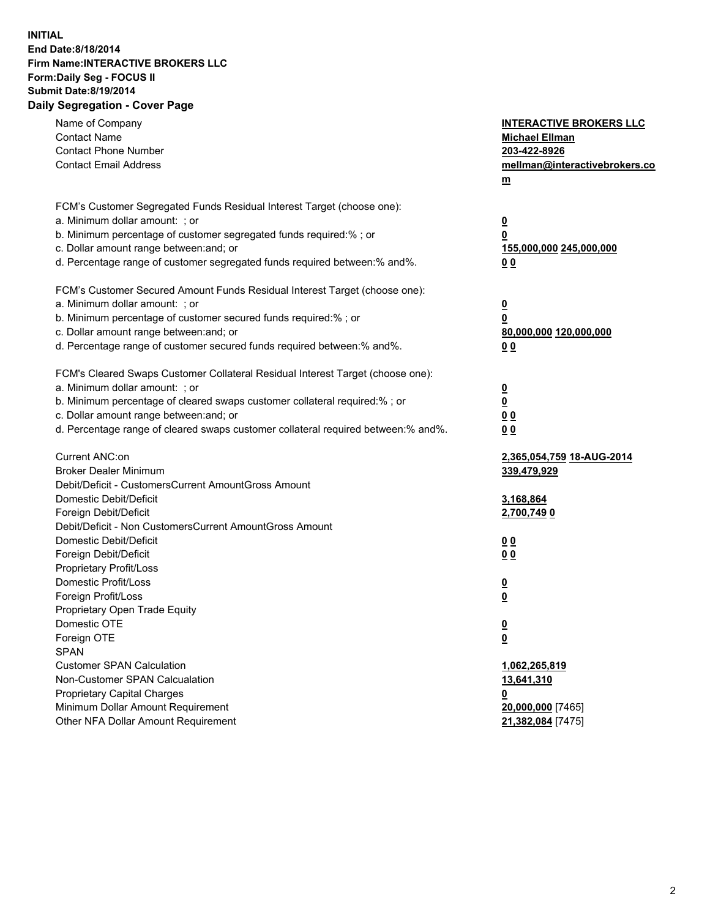## **INITIAL End Date:8/18/2014 Firm Name:INTERACTIVE BROKERS LLC Form:Daily Seg - FOCUS II Submit Date:8/19/2014 Daily Segregation - Cover Page**

| Name of Company                                                                   | <b>INTERACTIVE BROKERS LLC</b> |
|-----------------------------------------------------------------------------------|--------------------------------|
| <b>Contact Name</b>                                                               | <b>Michael Ellman</b>          |
| <b>Contact Phone Number</b>                                                       | 203-422-8926                   |
| <b>Contact Email Address</b>                                                      | mellman@interactivebrokers.co  |
|                                                                                   | $\underline{\mathbf{m}}$       |
| FCM's Customer Segregated Funds Residual Interest Target (choose one):            |                                |
| a. Minimum dollar amount: ; or                                                    | $\overline{\mathbf{0}}$        |
| b. Minimum percentage of customer segregated funds required:% ; or                | 0                              |
| c. Dollar amount range between: and; or                                           | 155,000,000 245,000,000        |
| d. Percentage range of customer segregated funds required between:% and%.         | 00                             |
| FCM's Customer Secured Amount Funds Residual Interest Target (choose one):        |                                |
| a. Minimum dollar amount: ; or                                                    | $\overline{\mathbf{0}}$        |
| b. Minimum percentage of customer secured funds required:% ; or                   | 0                              |
| c. Dollar amount range between: and; or                                           | 80,000,000 120,000,000         |
| d. Percentage range of customer secured funds required between:% and%.            | 00                             |
|                                                                                   |                                |
| FCM's Cleared Swaps Customer Collateral Residual Interest Target (choose one):    |                                |
| a. Minimum dollar amount: ; or                                                    | $\overline{\mathbf{0}}$        |
| b. Minimum percentage of cleared swaps customer collateral required:% ; or        | $\underline{\mathbf{0}}$       |
| c. Dollar amount range between: and; or                                           | 0 <sub>0</sub>                 |
| d. Percentage range of cleared swaps customer collateral required between:% and%. | 0 <sub>0</sub>                 |
| Current ANC:on                                                                    | 2,365,054,759 18-AUG-2014      |
| <b>Broker Dealer Minimum</b>                                                      | 339,479,929                    |
| Debit/Deficit - CustomersCurrent AmountGross Amount                               |                                |
| Domestic Debit/Deficit                                                            | 3,168,864                      |
| Foreign Debit/Deficit                                                             | 2,700,7490                     |
| Debit/Deficit - Non CustomersCurrent AmountGross Amount                           |                                |
| Domestic Debit/Deficit                                                            | 0 <sub>0</sub>                 |
| Foreign Debit/Deficit                                                             | 0 <sub>0</sub>                 |
| Proprietary Profit/Loss                                                           |                                |
| Domestic Profit/Loss                                                              | $\overline{\mathbf{0}}$        |
| Foreign Profit/Loss                                                               | $\underline{\mathbf{0}}$       |
| Proprietary Open Trade Equity                                                     |                                |
| Domestic OTE                                                                      | <u>0</u>                       |
| Foreign OTE                                                                       | <u>0</u>                       |
| <b>SPAN</b>                                                                       |                                |
| <b>Customer SPAN Calculation</b>                                                  | 1,062,265,819                  |
| Non-Customer SPAN Calcualation                                                    | <u>13,641,310</u>              |
| Proprietary Capital Charges                                                       | 0                              |
| Minimum Dollar Amount Requirement                                                 | 20,000,000 [7465]              |
| Other NFA Dollar Amount Requirement                                               | 21,382,084 [7475]              |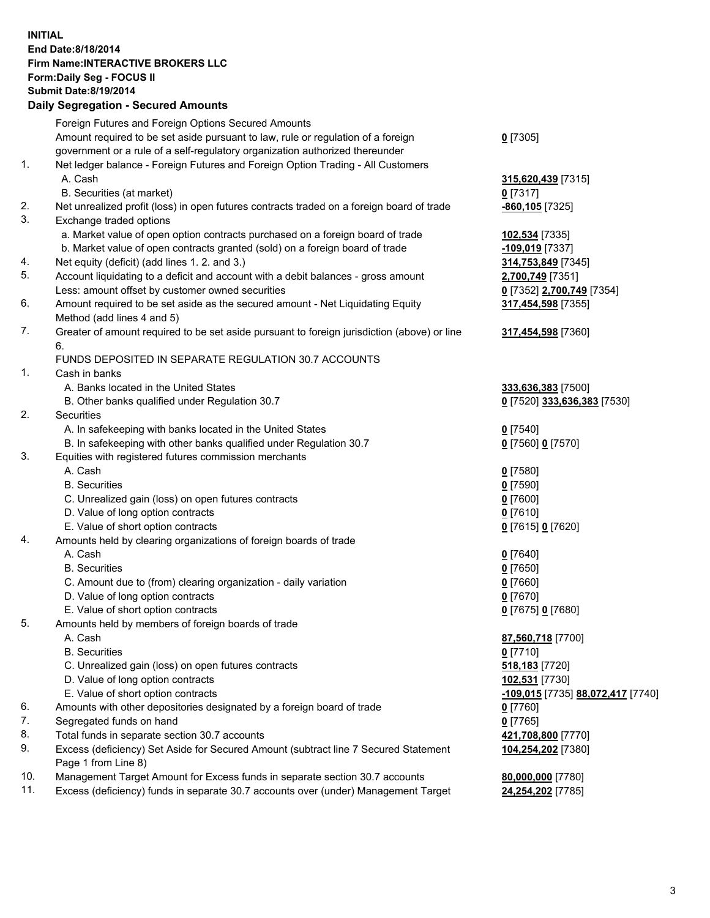## **INITIAL End Date:8/18/2014 Firm Name:INTERACTIVE BROKERS LLC Form:Daily Seg - FOCUS II Submit Date:8/19/2014 Daily Segregation - Secured Amounts**

|                | Daily Ocglegation - Occarea Anioants                                                                       |                                   |
|----------------|------------------------------------------------------------------------------------------------------------|-----------------------------------|
|                | Foreign Futures and Foreign Options Secured Amounts                                                        |                                   |
|                | Amount required to be set aside pursuant to law, rule or regulation of a foreign                           | $0$ [7305]                        |
|                | government or a rule of a self-regulatory organization authorized thereunder                               |                                   |
| 1.             | Net ledger balance - Foreign Futures and Foreign Option Trading - All Customers                            |                                   |
|                | A. Cash                                                                                                    | 315,620,439 [7315]                |
|                | B. Securities (at market)                                                                                  | $0$ [7317]                        |
| 2.             | Net unrealized profit (loss) in open futures contracts traded on a foreign board of trade                  | -860,105 [7325]                   |
| 3.             | Exchange traded options                                                                                    |                                   |
|                | a. Market value of open option contracts purchased on a foreign board of trade                             | 102,534 [7335]                    |
|                | b. Market value of open contracts granted (sold) on a foreign board of trade                               | -109,019 [7337]                   |
| 4.             | Net equity (deficit) (add lines 1.2. and 3.)                                                               | 314,753,849 [7345]                |
| 5.             | Account liquidating to a deficit and account with a debit balances - gross amount                          | 2,700,749 [7351]                  |
|                | Less: amount offset by customer owned securities                                                           | 0 [7352] 2,700,749 [7354]         |
| 6.             | Amount required to be set aside as the secured amount - Net Liquidating Equity                             | 317,454,598 [7355]                |
|                | Method (add lines 4 and 5)                                                                                 |                                   |
| 7.             | Greater of amount required to be set aside pursuant to foreign jurisdiction (above) or line                | 317,454,598 [7360]                |
|                | 6.                                                                                                         |                                   |
|                | FUNDS DEPOSITED IN SEPARATE REGULATION 30.7 ACCOUNTS                                                       |                                   |
| $\mathbf{1}$ . | Cash in banks                                                                                              |                                   |
|                | A. Banks located in the United States                                                                      | 333,636,383 [7500]                |
|                | B. Other banks qualified under Regulation 30.7                                                             | 0 [7520] 333,636,383 [7530]       |
| 2.             | Securities                                                                                                 |                                   |
|                | A. In safekeeping with banks located in the United States                                                  | $0$ [7540]                        |
|                | B. In safekeeping with other banks qualified under Regulation 30.7                                         | 0 [7560] 0 [7570]                 |
| 3.             | Equities with registered futures commission merchants                                                      |                                   |
|                | A. Cash                                                                                                    | $0$ [7580]                        |
|                | <b>B.</b> Securities                                                                                       | $0$ [7590]                        |
|                | C. Unrealized gain (loss) on open futures contracts                                                        | $0$ [7600]                        |
|                | D. Value of long option contracts                                                                          | $0$ [7610]                        |
|                | E. Value of short option contracts                                                                         | 0 [7615] 0 [7620]                 |
| 4.             | Amounts held by clearing organizations of foreign boards of trade                                          |                                   |
|                | A. Cash                                                                                                    | $Q$ [7640]                        |
|                | <b>B.</b> Securities                                                                                       | $0$ [7650]                        |
|                | C. Amount due to (from) clearing organization - daily variation                                            | $0$ [7660]                        |
|                | D. Value of long option contracts                                                                          | $0$ [7670]                        |
|                | E. Value of short option contracts                                                                         | 0 [7675] 0 [7680]                 |
| 5.             | Amounts held by members of foreign boards of trade                                                         |                                   |
|                | A. Cash                                                                                                    | 87,560,718 [7700]                 |
|                | <b>B.</b> Securities                                                                                       | $0$ [7710]                        |
|                | C. Unrealized gain (loss) on open futures contracts                                                        | 518,183 [7720]                    |
|                | D. Value of long option contracts                                                                          | 102,531 [7730]                    |
|                | E. Value of short option contracts                                                                         | -109,015 [7735] 88,072,417 [7740] |
| 6.             | Amounts with other depositories designated by a foreign board of trade                                     | 0 [7760]                          |
| 7.             | Segregated funds on hand                                                                                   | $0$ [7765]                        |
| 8.             | Total funds in separate section 30.7 accounts                                                              | 421,708,800 [7770]                |
| 9.             | Excess (deficiency) Set Aside for Secured Amount (subtract line 7 Secured Statement<br>Page 1 from Line 8) | 104,254,202 [7380]                |
| 10.            | Management Target Amount for Excess funds in separate section 30.7 accounts                                | 80,000,000 [7780]                 |
| 11.            | Excess (deficiency) funds in separate 30.7 accounts over (under) Management Target                         | 24,254,202 [7785]                 |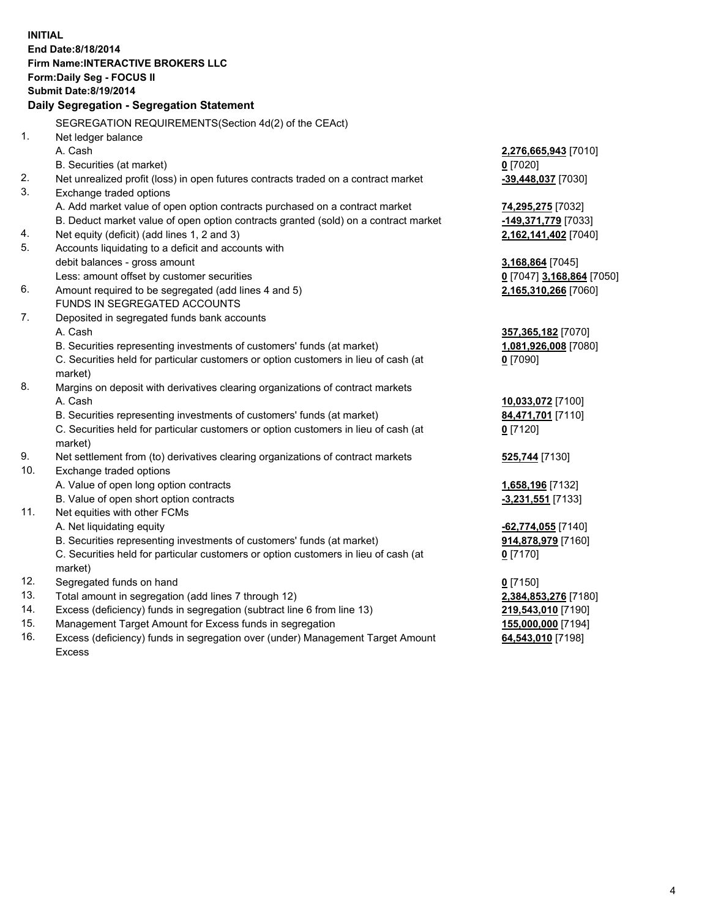**INITIAL End Date:8/18/2014 Firm Name:INTERACTIVE BROKERS LLC Form:Daily Seg - FOCUS II Submit Date:8/19/2014 Daily Segregation - Segregation Statement** SEGREGATION REQUIREMENTS(Section 4d(2) of the CEAct) 1. Net ledger balance A. Cash **2,276,665,943** [7010] B. Securities (at market) **0** [7020] 2. Net unrealized profit (loss) in open futures contracts traded on a contract market **-39,448,037** [7030] 3. Exchange traded options A. Add market value of open option contracts purchased on a contract market **74,295,275** [7032] B. Deduct market value of open option contracts granted (sold) on a contract market **-149,371,779** [7033] 4. Net equity (deficit) (add lines 1, 2 and 3) **2,162,141,402** [7040] 5. Accounts liquidating to a deficit and accounts with debit balances - gross amount **3,168,864** [7045] Less: amount offset by customer securities **0** [7047] **3,168,864** [7050] 6. Amount required to be segregated (add lines 4 and 5) **2,165,310,266** [7060] FUNDS IN SEGREGATED ACCOUNTS 7. Deposited in segregated funds bank accounts A. Cash **357,365,182** [7070] B. Securities representing investments of customers' funds (at market) **1,081,926,008** [7080] C. Securities held for particular customers or option customers in lieu of cash (at market) **0** [7090] 8. Margins on deposit with derivatives clearing organizations of contract markets A. Cash **10,033,072** [7100] B. Securities representing investments of customers' funds (at market) **84,471,701** [7110] C. Securities held for particular customers or option customers in lieu of cash (at market) **0** [7120] 9. Net settlement from (to) derivatives clearing organizations of contract markets **525,744** [7130] 10. Exchange traded options A. Value of open long option contracts **1,658,196** [7132] B. Value of open short option contracts **-3,231,551** [7133] 11. Net equities with other FCMs A. Net liquidating equity **-62,774,055** [7140] B. Securities representing investments of customers' funds (at market) **914,878,979** [7160] C. Securities held for particular customers or option customers in lieu of cash (at market) **0** [7170] 12. Segregated funds on hand **0** [7150] 13. Total amount in segregation (add lines 7 through 12) **2,384,853,276** [7180] 14. Excess (deficiency) funds in segregation (subtract line 6 from line 13) **219,543,010** [7190] 15. Management Target Amount for Excess funds in segregation **155,000,000** [7194]

16. Excess (deficiency) funds in segregation over (under) Management Target Amount Excess

**64,543,010** [7198]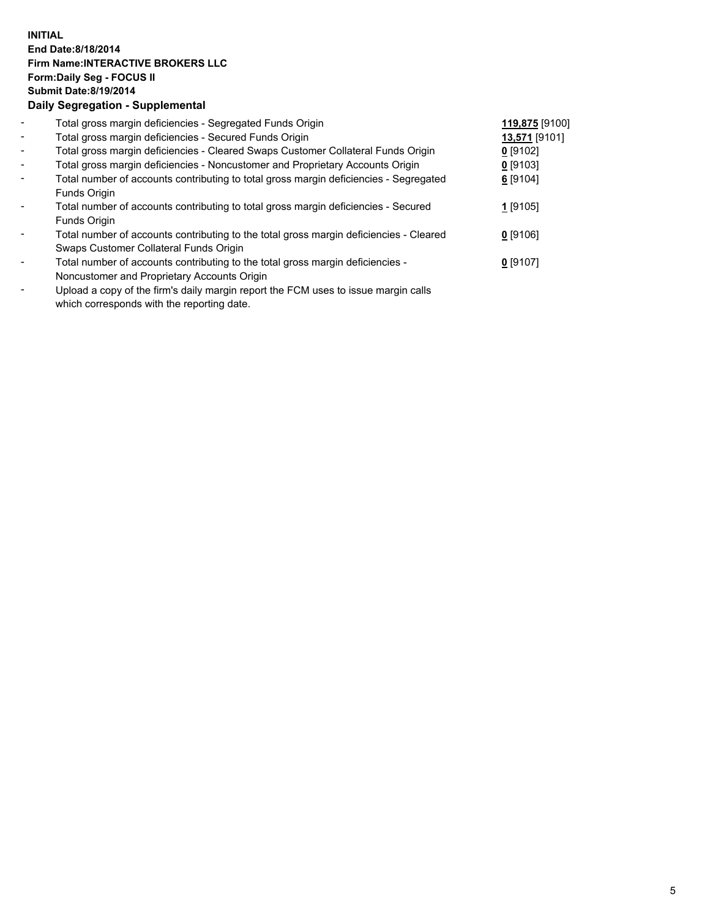## **INITIAL End Date:8/18/2014 Firm Name:INTERACTIVE BROKERS LLC Form:Daily Seg - FOCUS II Submit Date:8/19/2014 Daily Segregation - Supplemental**

| $\overline{\phantom{a}}$ | Total gross margin deficiencies - Segregated Funds Origin                                                                                                                                                                                         | 119,875 [9100] |  |
|--------------------------|---------------------------------------------------------------------------------------------------------------------------------------------------------------------------------------------------------------------------------------------------|----------------|--|
| $\blacksquare$           | Total gross margin deficiencies - Secured Funds Origin                                                                                                                                                                                            | 13,571 [9101]  |  |
| $\sim$                   | Total gross margin deficiencies - Cleared Swaps Customer Collateral Funds Origin                                                                                                                                                                  | $0$ [9102]     |  |
| $\blacksquare$           | Total gross margin deficiencies - Noncustomer and Proprietary Accounts Origin                                                                                                                                                                     | $0$ [9103]     |  |
| $\blacksquare$           | Total number of accounts contributing to total gross margin deficiencies - Segregated                                                                                                                                                             | 6 [9104]       |  |
|                          | Funds Origin                                                                                                                                                                                                                                      |                |  |
|                          | Total number of accounts contributing to total gross margin deficiencies - Secured                                                                                                                                                                | 1 [9105]       |  |
|                          | Funds Origin                                                                                                                                                                                                                                      |                |  |
| Ξ.                       | Total number of accounts contributing to the total gross margin deficiencies - Cleared                                                                                                                                                            | $0$ [9106]     |  |
|                          | Swaps Customer Collateral Funds Origin                                                                                                                                                                                                            |                |  |
| ۰                        | Total number of accounts contributing to the total gross margin deficiencies -                                                                                                                                                                    | $0$ [9107]     |  |
|                          | Noncustomer and Proprietary Accounts Origin                                                                                                                                                                                                       |                |  |
|                          | The set of the $\mathcal{C}$ set of the set of the $\mathcal{C}$ and $\mathcal{C}$ and $\mathcal{C}$ is the set of the set of the set of the set of the set of the set of the set of the set of the set of the set of the set of the set of the s |                |  |

- Upload a copy of the firm's daily margin report the FCM uses to issue margin calls which corresponds with the reporting date.